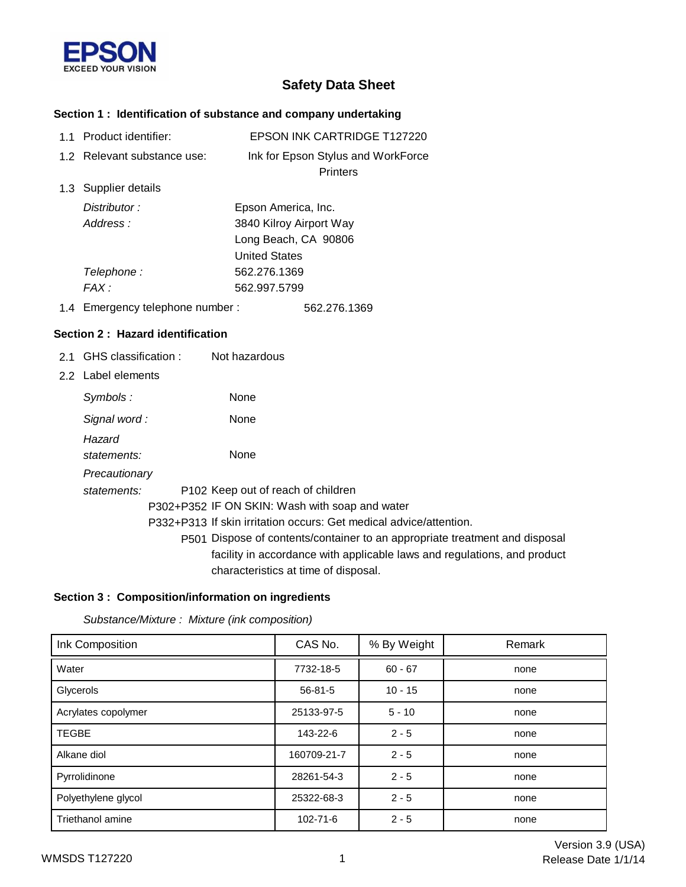

# **Safety Data Sheet**

# **Section 1 : Identification of substance and company undertaking**

| 1.1 Product identifier:          |                                    | <b>EPSON INK CARTRIDGE T127220</b>                                 |
|----------------------------------|------------------------------------|--------------------------------------------------------------------|
| 1.2 Relevant substance use:      |                                    | Ink for Epson Stylus and WorkForce<br><b>Printers</b>              |
| 1.3 Supplier details             |                                    |                                                                    |
| Distributor:                     | Epson America, Inc.                |                                                                    |
| Address:                         |                                    | 3840 Kilroy Airport Way                                            |
|                                  |                                    | Long Beach, CA 90806                                               |
|                                  | <b>United States</b>               |                                                                    |
| Telephone:                       | 562.276.1369                       |                                                                    |
| FAX :                            | 562.997.5799                       |                                                                    |
| 1.4 Emergency telephone number:  |                                    | 562.276.1369                                                       |
| Section 2: Hazard identification |                                    |                                                                    |
| 2.1 GHS classification :         | Not hazardous                      |                                                                    |
| 2.2 Label elements               |                                    |                                                                    |
| Symbols:                         | None                               |                                                                    |
| Signal word:                     | None                               |                                                                    |
| Hazard                           |                                    |                                                                    |
| statements:                      | None                               |                                                                    |
| Precautionary                    |                                    |                                                                    |
| statements:                      | P102 Keep out of reach of children |                                                                    |
|                                  |                                    | P302+P352 IF ON SKIN: Wash with soap and water                     |
|                                  |                                    | P332+P313 If skin irritation occurs: Get medical advice/attention. |
|                                  |                                    | REA1 Dispose of contents/container to an appropriate treat         |

P501 Dispose of contents/container to an appropriate treatment and disposal facility in accordance with applicable laws and regulations, and product characteristics at time of disposal.

#### **Section 3 : Composition/information on ingredients**

*Substance/Mixture : Mixture (ink composition)*

| Ink Composition         | CAS No.       | % By Weight | Remark |
|-------------------------|---------------|-------------|--------|
| Water                   | 7732-18-5     | $60 - 67$   | none   |
| Glycerols               | $56 - 81 - 5$ | $10 - 15$   | none   |
| Acrylates copolymer     | 25133-97-5    | $5 - 10$    | none   |
| <b>TEGBE</b>            | 143-22-6      | $2 - 5$     | none   |
| Alkane diol             | 160709-21-7   | $2 - 5$     | none   |
| Pyrrolidinone           | 28261-54-3    | $2 - 5$     | none   |
| Polyethylene glycol     | 25322-68-3    | $2 - 5$     | none   |
| <b>Triethanol amine</b> | 102-71-6      | $2 - 5$     | none   |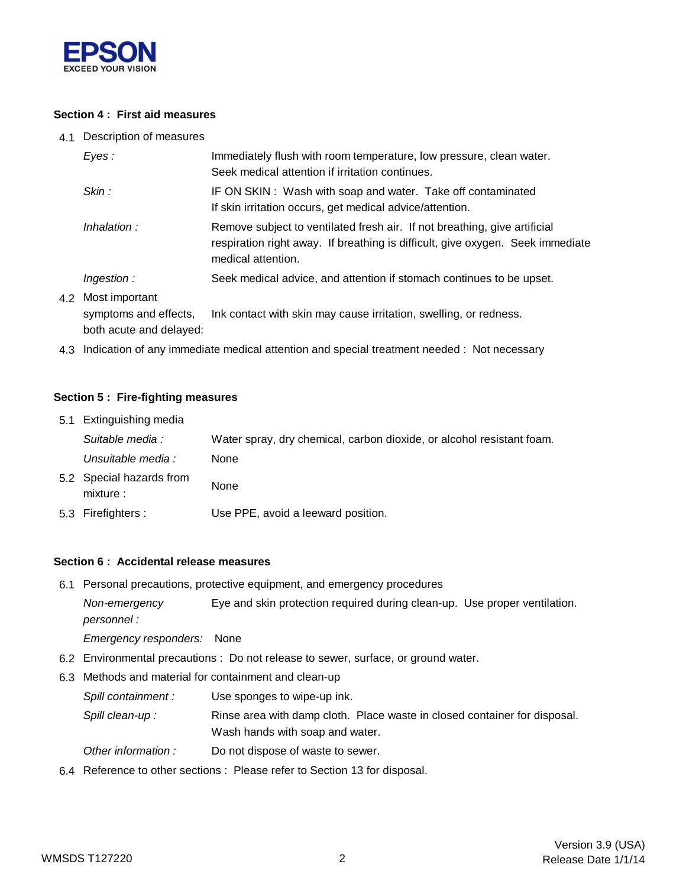

#### **Section 4 : First aid measures**

4.1 Description of measures

| Eyes:                                       | Immediately flush with room temperature, low pressure, clean water.<br>Seek medical attention if irritation continues.                                                            |
|---------------------------------------------|-----------------------------------------------------------------------------------------------------------------------------------------------------------------------------------|
| Skin:                                       | IF ON SKIN: Wash with soap and water. Take off contaminated<br>If skin irritation occurs, get medical advice/attention.                                                           |
| Inhalation:                                 | Remove subject to ventilated fresh air. If not breathing, give artificial<br>respiration right away. If breathing is difficult, give oxygen. Seek immediate<br>medical attention. |
| Ingestion:                                  | Seek medical advice, and attention if stomach continues to be upset.                                                                                                              |
| 4.2 Most important<br>symptoms and effects, | Ink contact with skin may cause irritation, swelling, or redness.                                                                                                                 |

both acute and delayed:

4.3 Indication of any immediate medical attention and special treatment needed : Not necessary

#### **Section 5 : Fire-fighting measures**

| 5.1 Extinguishing media               |                                                                       |
|---------------------------------------|-----------------------------------------------------------------------|
| Suitable media :                      | Water spray, dry chemical, carbon dioxide, or alcohol resistant foam. |
| Unsuitable media :                    | None                                                                  |
| 5.2 Special hazards from<br>mixture : | None                                                                  |
| 5.3 Firefighters :                    | Use PPE, avoid a leeward position.                                    |

#### **Section 6 : Accidental release measures**

6.1 Personal precautions, protective equipment, and emergency procedures

*Non-emergency* Eye and skin protection required during clean-up. Use proper ventilation. *personnel :*

*Emergency responders:* None

- 6.2 Environmental precautions : Do not release to sewer, surface, or ground water.
- 6.3 Methods and material for containment and clean-up
	- *Spill containment :* Use sponges to wipe-up ink.

Wash hands with soap and water. Spill clean-up : Rinse area with damp cloth. Place waste in closed container for disposal.

- *Other information :* Do not dispose of waste to sewer.
- 6.4 Reference to other sections : Please refer to Section 13 for disposal.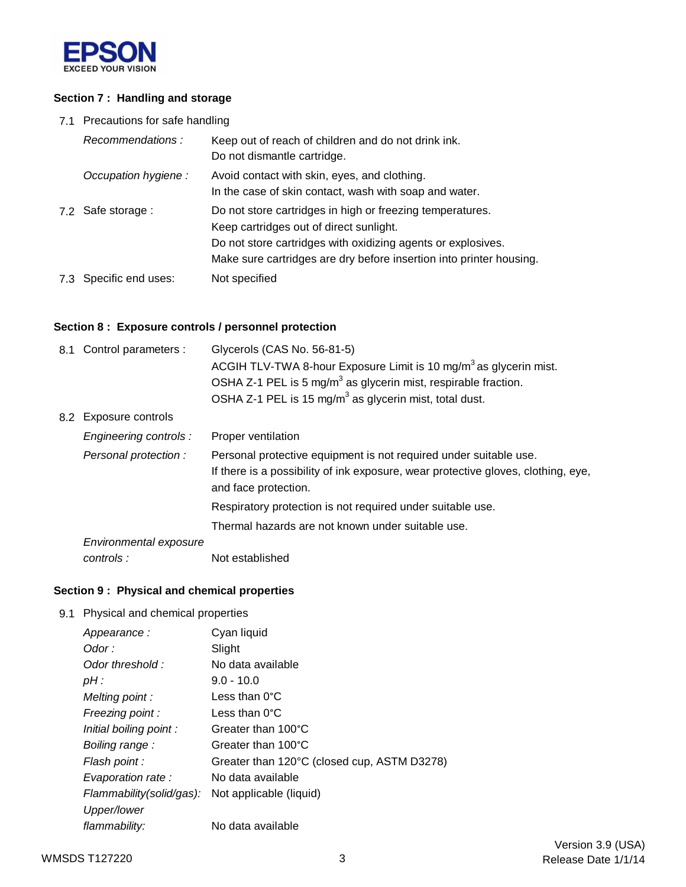

### **Section 7 : Handling and storage**

7.1 Precautions for safe handling

| Recommendations:       | Keep out of reach of children and do not drink ink.<br>Do not dismantle cartridge.                                                                                                                                                          |
|------------------------|---------------------------------------------------------------------------------------------------------------------------------------------------------------------------------------------------------------------------------------------|
| Occupation hygiene:    | Avoid contact with skin, eyes, and clothing.<br>In the case of skin contact, wash with soap and water.                                                                                                                                      |
| 7.2 Safe storage :     | Do not store cartridges in high or freezing temperatures.<br>Keep cartridges out of direct sunlight.<br>Do not store cartridges with oxidizing agents or explosives.<br>Make sure cartridges are dry before insertion into printer housing. |
| 7.3 Specific end uses: | Not specified                                                                                                                                                                                                                               |

### **Section 8 : Exposure controls / personnel protection**

| 8.1 Control parameters : | Glycerols (CAS No. 56-81-5)<br>ACGIH TLV-TWA 8-hour Exposure Limit is 10 mg/m <sup>3</sup> as glycerin mist.                                                                   |
|--------------------------|--------------------------------------------------------------------------------------------------------------------------------------------------------------------------------|
|                          | OSHA Z-1 PEL is 5 mg/m <sup>3</sup> as glycerin mist, respirable fraction.                                                                                                     |
|                          | OSHA Z-1 PEL is 15 mg/m <sup>3</sup> as glycerin mist, total dust.                                                                                                             |
| 8.2 Exposure controls    |                                                                                                                                                                                |
| Engineering controls :   | Proper ventilation                                                                                                                                                             |
| Personal protection:     | Personal protective equipment is not required under suitable use.<br>If there is a possibility of ink exposure, wear protective gloves, clothing, eye,<br>and face protection. |
|                          | Respiratory protection is not required under suitable use.                                                                                                                     |
|                          | Thermal hazards are not known under suitable use.                                                                                                                              |
| Environmental exposure   |                                                                                                                                                                                |
| controls:                | Not established                                                                                                                                                                |

## **Section 9 : Physical and chemical properties**

9.1 Physical and chemical properties

| Appearance:              | Cyan liquid                                 |
|--------------------------|---------------------------------------------|
| Odor :                   | Slight                                      |
| Odor threshold:          | No data available                           |
| $pH$ :                   | $9.0 - 10.0$                                |
| Melting point:           | Less than $0^{\circ}$ C                     |
| Freezing point:          | Less than $0^{\circ}$ C                     |
| Initial boiling point:   | Greater than 100°C                          |
| Boiling range :          | Greater than 100°C                          |
| Flash point :            | Greater than 120°C (closed cup, ASTM D3278) |
| Evaporation rate :       | No data available                           |
| Flammability(solid/gas): | Not applicable (liquid)                     |
| Upper/lower              |                                             |
| flammability:            | No data available                           |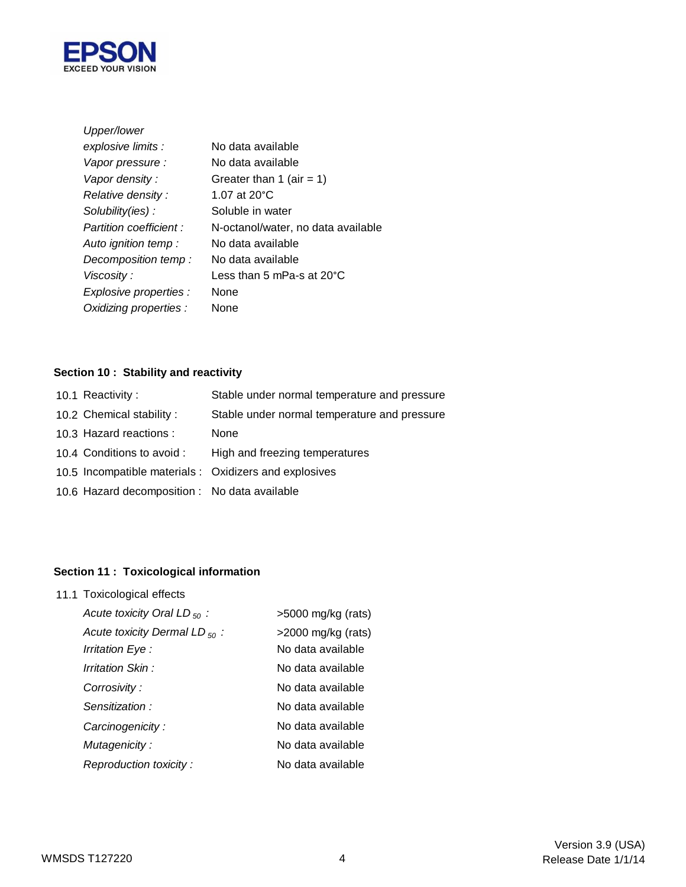

| Upper/lower             |                                     |
|-------------------------|-------------------------------------|
| explosive limits :      | No data available                   |
| Vapor pressure :        | No data available                   |
| Vapor density:          | Greater than 1 (air = 1)            |
| Relative density:       | 1.07 at $20^{\circ}$ C              |
| Solubility(ies):        | Soluble in water                    |
| Partition coefficient : | N-octanol/water, no data available  |
| Auto ignition temp :    | No data available                   |
| Decomposition temp:     | No data available                   |
| Viscosity :             | Less than 5 mPa-s at $20^{\circ}$ C |
| Explosive properties :  | None                                |
| Oxidizing properties :  | None                                |

# **Section 10 : Stability and reactivity**

| 10.1 Reactivity:                              | Stable under normal temperature and pressure           |
|-----------------------------------------------|--------------------------------------------------------|
| 10.2 Chemical stability:                      | Stable under normal temperature and pressure           |
| 10.3 Hazard reactions :                       | None                                                   |
| 10.4 Conditions to avoid :                    | High and freezing temperatures                         |
|                                               | 10.5 Incompatible materials : Oxidizers and explosives |
| 10.6 Hazard decomposition : No data available |                                                        |
|                                               |                                                        |

# **Section 11 : Toxicological information**

11.1 Toxicological effects

| Acute toxicity Oral LD $_{50}$ :   | $>5000$ mg/kg (rats)  |
|------------------------------------|-----------------------|
| Acute toxicity Dermal LD $_{50}$ : | $>$ 2000 mg/kg (rats) |
| Irritation Eye :                   | No data available     |
| Irritation Skin:                   | No data available     |
| Corrosivity:                       | No data available     |
| Sensitization:                     | No data available     |
| Carcinogenicity:                   | No data available     |
| Mutagenicity:                      | No data available     |
| Reproduction toxicity:             | No data available     |
|                                    |                       |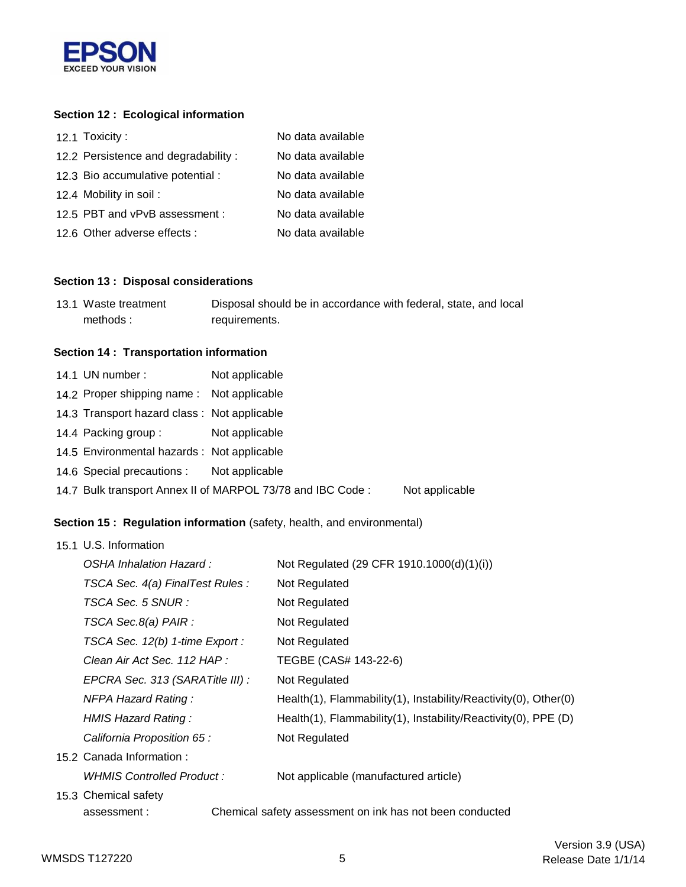

### **Section 12 : Ecological information**

| 12.1 Toxicity:                      | No data available |
|-------------------------------------|-------------------|
| 12.2 Persistence and degradability: | No data available |
| 12.3 Bio accumulative potential :   | No data available |
| 12.4 Mobility in soil:              | No data available |
| 12.5 PBT and vPvB assessment :      | No data available |
| 12.6 Other adverse effects :        | No data available |

#### **Section 13 : Disposal considerations**

| 13.1 Waste treatment | Disposal should be in accordance with federal, state, and local |
|----------------------|-----------------------------------------------------------------|
| methods:             | requirements.                                                   |

### **Section 14 : Transportation information**

| 14.1 UN number:                             | Not applicable                                             |                |
|---------------------------------------------|------------------------------------------------------------|----------------|
| 14.2 Proper shipping name: Not applicable   |                                                            |                |
| 14.3 Transport hazard class: Not applicable |                                                            |                |
| 14.4 Packing group :                        | Not applicable                                             |                |
| 14.5 Environmental hazards : Not applicable |                                                            |                |
| 14.6 Special precautions : Not applicable   |                                                            |                |
|                                             | 14.7 Bulk transport Annex II of MARPOL 73/78 and IBC Code: | Not applicable |

### **Section 15 : Regulation information** (safety, health, and environmental)

| 15.1 U.S. Information            |                                                                 |  |  |
|----------------------------------|-----------------------------------------------------------------|--|--|
| OSHA Inhalation Hazard:          | Not Regulated (29 CFR 1910.1000(d)(1)(i))                       |  |  |
| TSCA Sec. 4(a) FinalTest Rules : | Not Regulated                                                   |  |  |
| TSCA Sec. 5 SNUR :               | Not Regulated                                                   |  |  |
| TSCA Sec.8(a) PAIR :             | Not Regulated                                                   |  |  |
| TSCA Sec. 12(b) 1-time Export :  | Not Regulated                                                   |  |  |
| Clean Air Act Sec. 112 HAP :     | TEGBE (CAS# 143-22-6)                                           |  |  |
| EPCRA Sec. 313 (SARATitle III) : | Not Regulated                                                   |  |  |
| <b>NFPA Hazard Rating:</b>       | Health(1), Flammability(1), Instability/Reactivity(0), Other(0) |  |  |
| HMIS Hazard Rating:              | Health(1), Flammability(1), Instability/Reactivity(0), PPE (D)  |  |  |
| California Proposition 65 :      | Not Regulated                                                   |  |  |
| 15.2 Canada Information:         |                                                                 |  |  |
| WHMIS Controlled Product:        | Not applicable (manufactured article)                           |  |  |
| 15.3 Chemical safety             |                                                                 |  |  |
| assessment:                      | Chemical safety assessment on ink has not been conducted        |  |  |